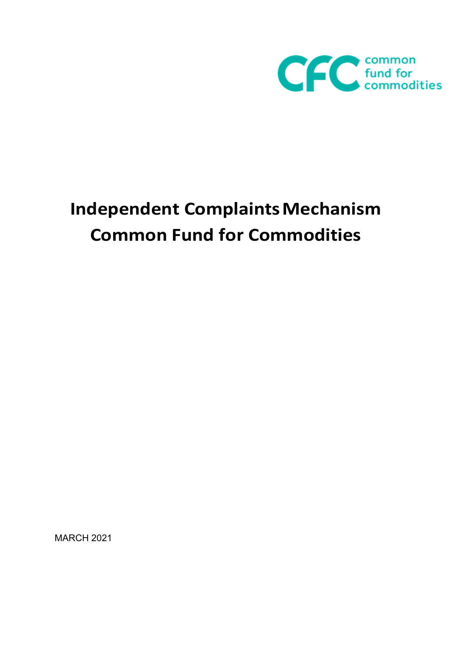

# **Independent Complaints Mechanism Common Fund for Commodities**

MARCH 2021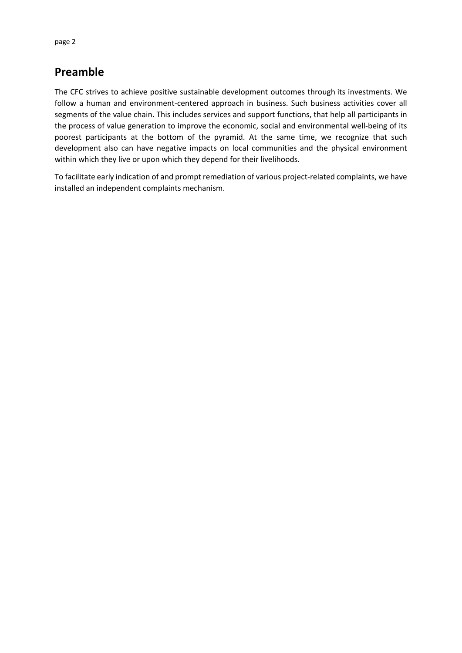# **Preamble**

The CFC strives to achieve positive sustainable development outcomes through its investments. We follow a human and environment-centered approach in business. Such business activities cover all segments of the value chain. This includes services and support functions, that help all participants in the process of value generation to improve the economic, social and environmental well-being of its poorest participants at the bottom of the pyramid. At the same time, we recognize that such development also can have negative impacts on local communities and the physical environment within which they live or upon which they depend for their livelihoods.

To facilitate early indication of and prompt remediation of various project-related complaints, we have installed an independent complaints mechanism.

page 2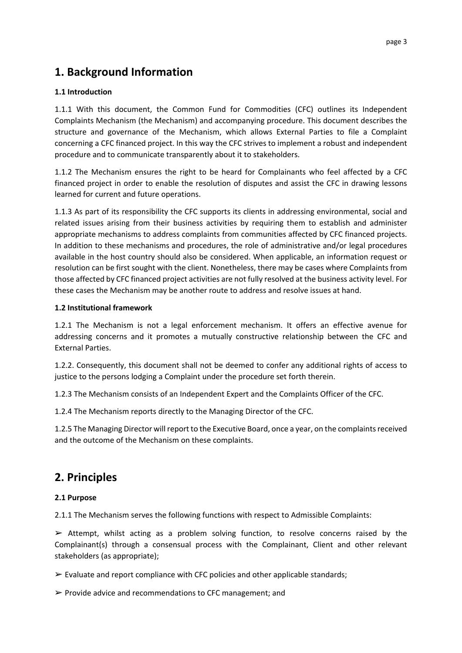# **1. Background Information**

## **1.1 Introduction**

1.1.1 With this document, the Common Fund for Commodities (CFC) outlines its Independent Complaints Mechanism (the Mechanism) and accompanying procedure. This document describes the structure and governance of the Mechanism, which allows External Parties to file a Complaint concerning a CFC financed project. In this way the CFC strives to implement a robust and independent procedure and to communicate transparently about it to stakeholders.

1.1.2 The Mechanism ensures the right to be heard for Complainants who feel affected by a CFC financed project in order to enable the resolution of disputes and assist the CFC in drawing lessons learned for current and future operations.

1.1.3 As part of its responsibility the CFC supports its clients in addressing environmental, social and related issues arising from their business activities by requiring them to establish and administer appropriate mechanisms to address complaints from communities affected by CFC financed projects. In addition to these mechanisms and procedures, the role of administrative and/or legal procedures available in the host country should also be considered. When applicable, an information request or resolution can be first sought with the client. Nonetheless, there may be cases where Complaints from those affected by CFC financed project activities are not fully resolved at the business activity level. For these cases the Mechanism may be another route to address and resolve issues at hand.

#### **1.2 Institutional framework**

1.2.1 The Mechanism is not a legal enforcement mechanism. It offers an effective avenue for addressing concerns and it promotes a mutually constructive relationship between the CFC and External Parties.

1.2.2. Consequently, this document shall not be deemed to confer any additional rights of access to justice to the persons lodging a Complaint under the procedure set forth therein.

1.2.3 The Mechanism consists of an Independent Expert and the Complaints Officer of the CFC.

1.2.4 The Mechanism reports directly to the Managing Director of the CFC.

1.2.5 The Managing Director will report to the Executive Board, once a year, on the complaints received and the outcome of the Mechanism on these complaints.

# **2. Principles**

# **2.1 Purpose**

2.1.1 The Mechanism serves the following functions with respect to Admissible Complaints:

 $\triangleright$  Attempt, whilst acting as a problem solving function, to resolve concerns raised by the Complainant(s) through a consensual process with the Complainant, Client and other relevant stakeholders (as appropriate);

 $\triangleright$  Evaluate and report compliance with CFC policies and other applicable standards;

 $\triangleright$  Provide advice and recommendations to CFC management; and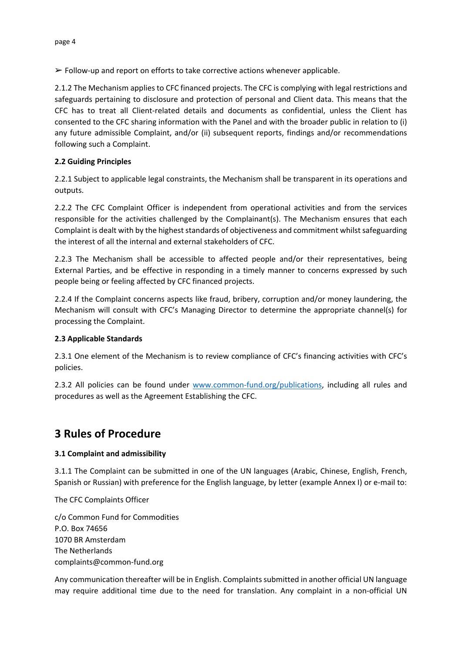$\triangleright$  Follow-up and report on efforts to take corrective actions whenever applicable.

2.1.2 The Mechanism applies to CFC financed projects. The CFC is complying with legal restrictions and safeguards pertaining to disclosure and protection of personal and Client data. This means that the CFC has to treat all Client-related details and documents as confidential, unless the Client has consented to the CFC sharing information with the Panel and with the broader public in relation to (i) any future admissible Complaint, and/or (ii) subsequent reports, findings and/or recommendations following such a Complaint.

#### **2.2 Guiding Principles**

2.2.1 Subject to applicable legal constraints, the Mechanism shall be transparent in its operations and outputs.

2.2.2 The CFC Complaint Officer is independent from operational activities and from the services responsible for the activities challenged by the Complainant(s). The Mechanism ensures that each Complaint is dealt with by the highest standards of objectiveness and commitment whilst safeguarding the interest of all the internal and external stakeholders of CFC.

2.2.3 The Mechanism shall be accessible to affected people and/or their representatives, being External Parties, and be effective in responding in a timely manner to concerns expressed by such people being or feeling affected by CFC financed projects.

2.2.4 If the Complaint concerns aspects like fraud, bribery, corruption and/or money laundering, the Mechanism will consult with CFC's Managing Director to determine the appropriate channel(s) for processing the Complaint.

#### **2.3 Applicable Standards**

2.3.1 One element of the Mechanism is to review compliance of CFC's financing activities with CFC's policies.

2.3.2 All policies can be found under [www.common-fund.org/publications,](http://www.common-fund.org/publications) including all rules and procedures as well as the Agreement Establishing the CFC.

# **3 Rules of Procedure**

# **3.1 Complaint and admissibility**

3.1.1 The Complaint can be submitted in one of the UN languages (Arabic, Chinese, English, French, Spanish or Russian) with preference for the English language, by letter (example Annex I) or e-mail to:

The CFC Complaints Officer

c/o Common Fund for Commodities P.O. Box 74656 1070 BR Amsterdam The Netherlands complaints@common-fund.org

Any communication thereafter will be in English. Complaints submitted in another official UN language may require additional time due to the need for translation. Any complaint in a non-official UN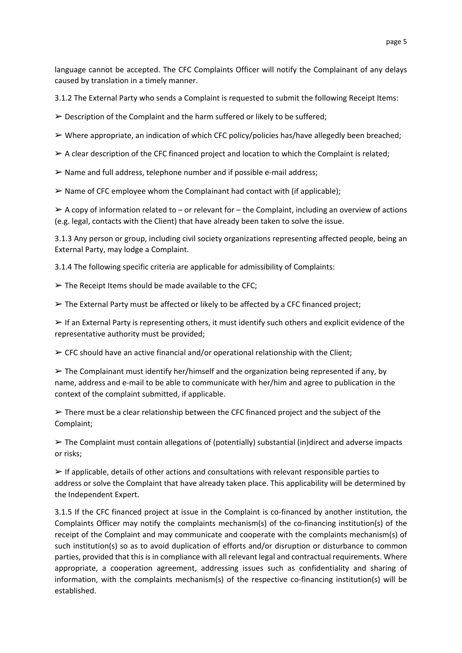language cannot be accepted. The CFC Complaints Officer will notify the Complainant of any delays caused by translation in a timely manner.

3.1.2 The External Party who sends a Complaint is requested to submit the following Receipt Items:

 $\triangleright$  Description of the Complaint and the harm suffered or likely to be suffered;

 $\triangleright$  Where appropriate, an indication of which CFC policy/policies has/have allegedly been breached;

 $\triangleright$  A clear description of the CFC financed project and location to which the Complaint is related;

 $\triangleright$  Name and full address, telephone number and if possible e-mail address;

 $\triangleright$  Name of CFC employee whom the Complainant had contact with (if applicable);

 $\triangleright$  A copy of information related to – or relevant for – the Complaint, including an overview of actions (e.g. legal, contacts with the Client) that have already been taken to solve the issue.

3.1.3 Any person or group, including civil society organizations representing affected people, being an External Party, may lodge a Complaint.

3.1.4 The following specific criteria are applicable for admissibility of Complaints:

 $\triangleright$  The Receipt Items should be made available to the CFC;

 $\triangleright$  The External Party must be affected or likely to be affected by a CFC financed project;

 $\triangleright$  If an External Party is representing others, it must identify such others and explicit evidence of the representative authority must be provided;

 $\triangleright$  CFC should have an active financial and/or operational relationship with the Client;

 $\triangleright$  The Complainant must identify her/himself and the organization being represented if any, by name, address and e-mail to be able to communicate with her/him and agree to publication in the context of the complaint submitted, if applicable.

 $\triangleright$  There must be a clear relationship between the CFC financed project and the subject of the Complaint;

➢ The Complaint must contain allegations of (potentially) substantial (in)direct and adverse impacts or risks;

 $\triangleright$  If applicable, details of other actions and consultations with relevant responsible parties to address or solve the Complaint that have already taken place. This applicability will be determined by the Independent Expert.

3.1.5 If the CFC financed project at issue in the Complaint is co-financed by another institution, the Complaints Officer may notify the complaints mechanism(s) of the co-financing institution(s) of the receipt of the Complaint and may communicate and cooperate with the complaints mechanism(s) of such institution(s) so as to avoid duplication of efforts and/or disruption or disturbance to common parties, provided that this is in compliance with all relevant legal and contractual requirements. Where appropriate, a cooperation agreement, addressing issues such as confidentiality and sharing of information, with the complaints mechanism(s) of the respective co-financing institution(s) will be established.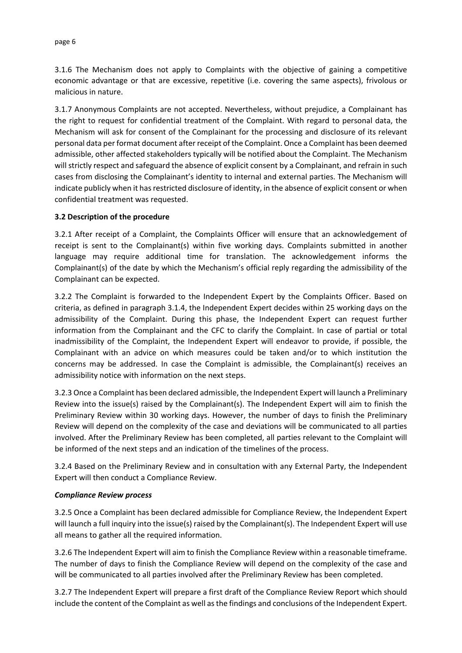#### page 6

3.1.6 The Mechanism does not apply to Complaints with the objective of gaining a competitive economic advantage or that are excessive, repetitive (i.e. covering the same aspects), frivolous or malicious in nature.

3.1.7 Anonymous Complaints are not accepted. Nevertheless, without prejudice, a Complainant has the right to request for confidential treatment of the Complaint. With regard to personal data, the Mechanism will ask for consent of the Complainant for the processing and disclosure of its relevant personal data per format document after receipt of the Complaint. Once a Complaint has been deemed admissible, other affected stakeholders typically will be notified about the Complaint. The Mechanism will strictly respect and safeguard the absence of explicit consent by a Complainant, and refrain in such cases from disclosing the Complainant's identity to internal and external parties. The Mechanism will indicate publicly when it has restricted disclosure of identity, in the absence of explicit consent or when confidential treatment was requested.

#### **3.2 Description of the procedure**

3.2.1 After receipt of a Complaint, the Complaints Officer will ensure that an acknowledgement of receipt is sent to the Complainant(s) within five working days. Complaints submitted in another language may require additional time for translation. The acknowledgement informs the Complainant(s) of the date by which the Mechanism's official reply regarding the admissibility of the Complainant can be expected.

3.2.2 The Complaint is forwarded to the Independent Expert by the Complaints Officer. Based on criteria, as defined in paragraph 3.1.4, the Independent Expert decides within 25 working days on the admissibility of the Complaint. During this phase, the Independent Expert can request further information from the Complainant and the CFC to clarify the Complaint. In case of partial or total inadmissibility of the Complaint, the Independent Expert will endeavor to provide, if possible, the Complainant with an advice on which measures could be taken and/or to which institution the concerns may be addressed. In case the Complaint is admissible, the Complainant(s) receives an admissibility notice with information on the next steps.

3.2.3 Once a Complaint has been declared admissible, the Independent Expert will launch a Preliminary Review into the issue(s) raised by the Complainant(s). The Independent Expert will aim to finish the Preliminary Review within 30 working days. However, the number of days to finish the Preliminary Review will depend on the complexity of the case and deviations will be communicated to all parties involved. After the Preliminary Review has been completed, all parties relevant to the Complaint will be informed of the next steps and an indication of the timelines of the process.

3.2.4 Based on the Preliminary Review and in consultation with any External Party, the Independent Expert will then conduct a Compliance Review.

#### *Compliance Review process*

3.2.5 Once a Complaint has been declared admissible for Compliance Review, the Independent Expert will launch a full inquiry into the issue(s) raised by the Complainant(s). The Independent Expert will use all means to gather all the required information.

3.2.6 The Independent Expert will aim to finish the Compliance Review within a reasonable timeframe. The number of days to finish the Compliance Review will depend on the complexity of the case and will be communicated to all parties involved after the Preliminary Review has been completed.

3.2.7 The Independent Expert will prepare a first draft of the Compliance Review Report which should include the content of the Complaint as well as the findings and conclusions of the Independent Expert.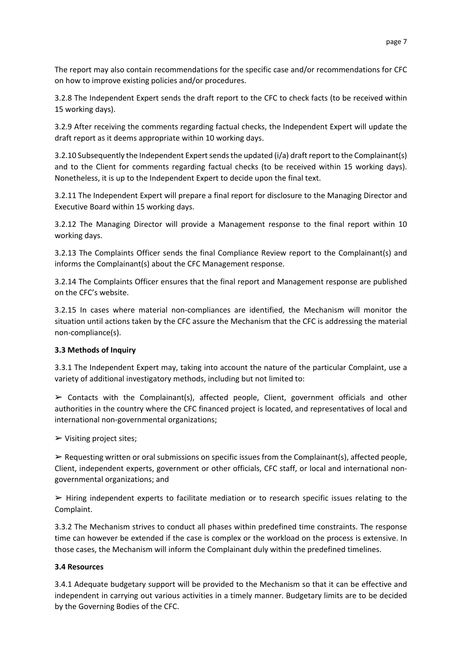The report may also contain recommendations for the specific case and/or recommendations for CFC on how to improve existing policies and/or procedures.

3.2.8 The Independent Expert sends the draft report to the CFC to check facts (to be received within 15 working days).

3.2.9 After receiving the comments regarding factual checks, the Independent Expert will update the draft report as it deems appropriate within 10 working days.

3.2.10 Subsequently the Independent Expert sends the updated (i/a) draft report to the Complainant(s) and to the Client for comments regarding factual checks (to be received within 15 working days). Nonetheless, it is up to the Independent Expert to decide upon the final text.

3.2.11 The Independent Expert will prepare a final report for disclosure to the Managing Director and Executive Board within 15 working days.

3.2.12 The Managing Director will provide a Management response to the final report within 10 working days.

3.2.13 The Complaints Officer sends the final Compliance Review report to the Complainant(s) and informs the Complainant(s) about the CFC Management response.

3.2.14 The Complaints Officer ensures that the final report and Management response are published on the CFC's website.

3.2.15 In cases where material non-compliances are identified, the Mechanism will monitor the situation until actions taken by the CFC assure the Mechanism that the CFC is addressing the material non-compliance(s).

# **3.3 Methods of Inquiry**

3.3.1 The Independent Expert may, taking into account the nature of the particular Complaint, use a variety of additional investigatory methods, including but not limited to:

 $\triangleright$  Contacts with the Complainant(s), affected people, Client, government officials and other authorities in the country where the CFC financed project is located, and representatives of local and international non-governmental organizations;

 $\triangleright$  Visiting project sites;

 $\triangleright$  Requesting written or oral submissions on specific issues from the Complainant(s), affected people, Client, independent experts, government or other officials, CFC staff, or local and international nongovernmental organizations; and

 $\triangleright$  Hiring independent experts to facilitate mediation or to research specific issues relating to the Complaint.

3.3.2 The Mechanism strives to conduct all phases within predefined time constraints. The response time can however be extended if the case is complex or the workload on the process is extensive. In those cases, the Mechanism will inform the Complainant duly within the predefined timelines.

# **3.4 Resources**

3.4.1 Adequate budgetary support will be provided to the Mechanism so that it can be effective and independent in carrying out various activities in a timely manner. Budgetary limits are to be decided by the Governing Bodies of the CFC.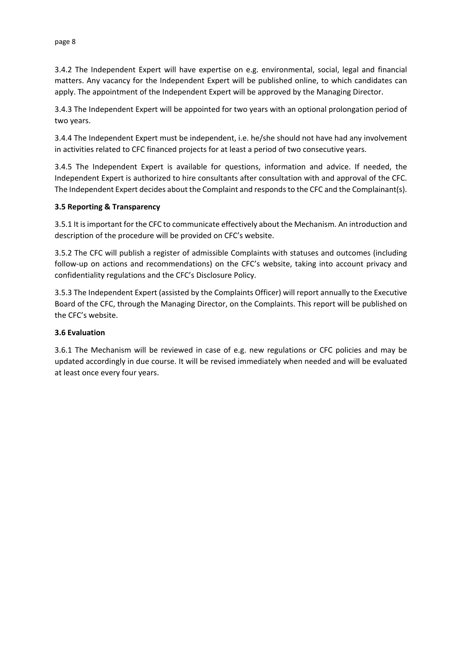3.4.2 The Independent Expert will have expertise on e.g. environmental, social, legal and financial matters. Any vacancy for the Independent Expert will be published online, to which candidates can apply. The appointment of the Independent Expert will be approved by the Managing Director.

3.4.3 The Independent Expert will be appointed for two years with an optional prolongation period of two years.

3.4.4 The Independent Expert must be independent, i.e. he/she should not have had any involvement in activities related to CFC financed projects for at least a period of two consecutive years.

3.4.5 The Independent Expert is available for questions, information and advice. If needed, the Independent Expert is authorized to hire consultants after consultation with and approval of the CFC. The Independent Expert decides about the Complaint and responds to the CFC and the Complainant(s).

#### **3.5 Reporting & Transparency**

3.5.1 It is important for the CFC to communicate effectively about the Mechanism. An introduction and description of the procedure will be provided on CFC's website.

3.5.2 The CFC will publish a register of admissible Complaints with statuses and outcomes (including follow-up on actions and recommendations) on the CFC's website, taking into account privacy and confidentiality regulations and the CFC's Disclosure Policy.

3.5.3 The Independent Expert (assisted by the Complaints Officer) will report annually to the Executive Board of the CFC, through the Managing Director, on the Complaints. This report will be published on the CFC's website.

#### **3.6 Evaluation**

3.6.1 The Mechanism will be reviewed in case of e.g. new regulations or CFC policies and may be updated accordingly in due course. It will be revised immediately when needed and will be evaluated at least once every four years.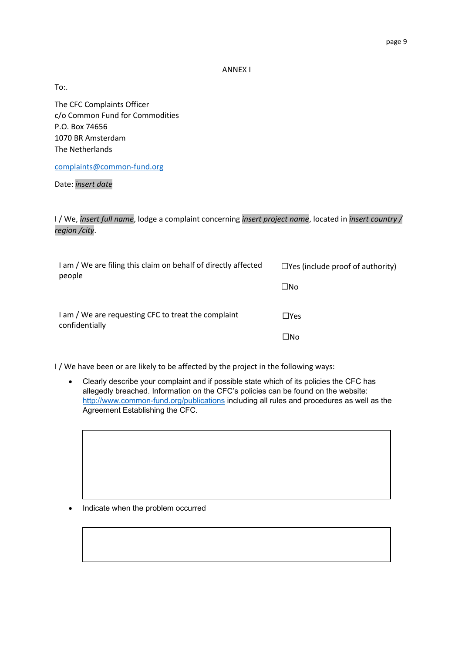ANNEX I

To:.

The CFC Complaints Officer c/o Common Fund for Commodities P.O. Box 74656 1070 BR Amsterdam The Netherlands

[complaints@common-fund.org](mailto:complaints@common-fund.org)

Date: *insert date*

I / We, *insert full name*, lodge a complaint concerning *insert project name*, located in *insert country / region /city*.

| I am / We are filing this claim on behalf of directly affected<br>people | $\Box$ Yes (include proof of authority) |
|--------------------------------------------------------------------------|-----------------------------------------|
|                                                                          | $\square$ No                            |
| I am / We are requesting CFC to treat the complaint<br>confidentially    | $\Box$ Yes                              |
|                                                                          | □No                                     |

I / We have been or are likely to be affected by the project in the following ways:

 Clearly describe your complaint and if possible state which of its policies the CFC has allegedly breached. Information on the CFC's policies can be found on the website: <http://www.common-fund.org/publications>including all rules and procedures as well as the Agreement Establishing the CFC.

Indicate when the problem occurred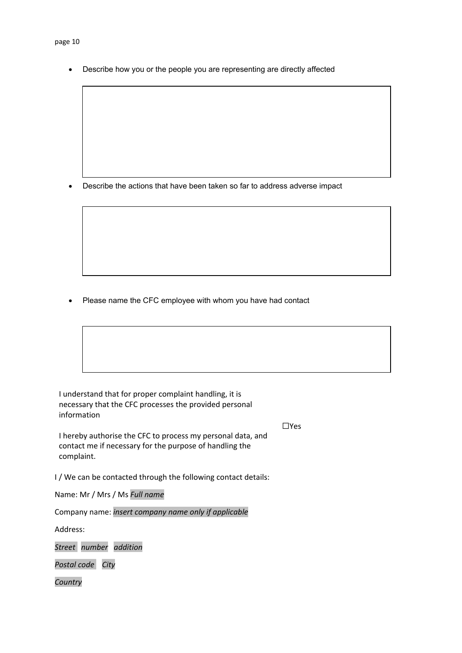Describe how you or the people you are representing are directly affected

Describe the actions that have been taken so far to address adverse impact

Please name the CFC employee with whom you have had contact

I understand that for proper complaint handling, it is necessary that the CFC processes the provided personal information

☐Yes

I hereby authorise the CFC to process my personal data, and contact me if necessary for the purpose of handling the complaint.

I / We can be contacted through the following contact details:

Name: Mr / Mrs / Ms *Full name*

Company name: *insert company name only if applicable*

Address:

*Street number addition* 

*Postal code City*

*Country*